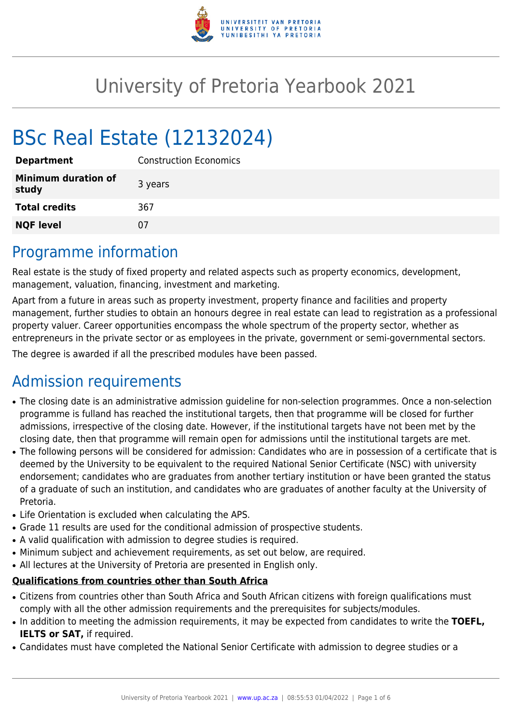

# University of Pretoria Yearbook 2021

# BSc Real Estate (12132024)

| <b>Department</b>                   | <b>Construction Economics</b> |
|-------------------------------------|-------------------------------|
| <b>Minimum duration of</b><br>study | 3 years                       |
| <b>Total credits</b>                | 367                           |
| <b>NQF level</b>                    | 07                            |

### Programme information

Real estate is the study of fixed property and related aspects such as property economics, development, management, valuation, financing, investment and marketing.

Apart from a future in areas such as property investment, property finance and facilities and property management, further studies to obtain an honours degree in real estate can lead to registration as a professional property valuer. Career opportunities encompass the whole spectrum of the property sector, whether as entrepreneurs in the private sector or as employees in the private, government or semi-governmental sectors.

The degree is awarded if all the prescribed modules have been passed.

# Admission requirements

- The closing date is an administrative admission guideline for non-selection programmes. Once a non-selection programme is fulland has reached the institutional targets, then that programme will be closed for further admissions, irrespective of the closing date. However, if the institutional targets have not been met by the closing date, then that programme will remain open for admissions until the institutional targets are met.
- The following persons will be considered for admission: Candidates who are in possession of a certificate that is deemed by the University to be equivalent to the required National Senior Certificate (NSC) with university endorsement; candidates who are graduates from another tertiary institution or have been granted the status of a graduate of such an institution, and candidates who are graduates of another faculty at the University of Pretoria.
- Life Orientation is excluded when calculating the APS.
- Grade 11 results are used for the conditional admission of prospective students.
- A valid qualification with admission to degree studies is required.
- Minimum subject and achievement requirements, as set out below, are required.
- All lectures at the University of Pretoria are presented in English only.

#### **Qualifications from countries other than South Africa**

- Citizens from countries other than South Africa and South African citizens with foreign qualifications must comply with all the other admission requirements and the prerequisites for subjects/modules.
- In addition to meeting the admission requirements, it may be expected from candidates to write the TOEFL, **IELTS or SAT,** if required.
- Candidates must have completed the National Senior Certificate with admission to degree studies or a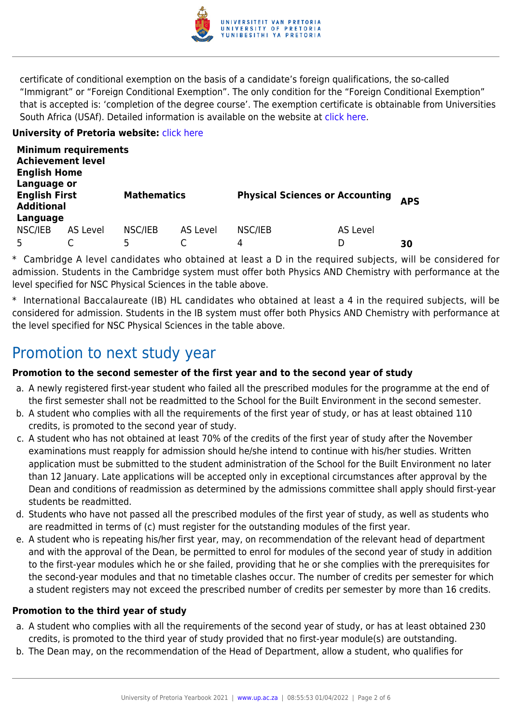

certificate of conditional exemption on the basis of a candidate's foreign qualifications, the so-called "Immigrant" or "Foreign Conditional Exemption". The only condition for the "Foreign Conditional Exemption" that is accepted is: 'completion of the degree course'. The exemption certificate is obtainable from Universities South Africa (USAf). Detailed information is available on the website at [click here.](http://mb.usaf.ac.za)

#### **University of Pretoria website: [click here](http://www.up.ac.za/ebit)**

| <b>Minimum requirements</b><br><b>Achievement level</b><br><b>English Home</b><br>Language or |          |                    |          |                                        |          |            |  |  |
|-----------------------------------------------------------------------------------------------|----------|--------------------|----------|----------------------------------------|----------|------------|--|--|
| <b>English First</b><br><b>Additional</b>                                                     |          | <b>Mathematics</b> |          | <b>Physical Sciences or Accounting</b> |          | <b>APS</b> |  |  |
| Language                                                                                      |          |                    |          |                                        |          |            |  |  |
| NSC/IEB                                                                                       | AS Level | NSC/IEB            | AS Level | NSC/IEB                                | AS Level |            |  |  |
|                                                                                               |          | 5                  |          | 4                                      | D        | 30         |  |  |

\* Cambridge A level candidates who obtained at least a D in the required subjects, will be considered for admission. Students in the Cambridge system must offer both Physics AND Chemistry with performance at the level specified for NSC Physical Sciences in the table above.

\* International Baccalaureate (IB) HL candidates who obtained at least a 4 in the required subjects, will be considered for admission. Students in the IB system must offer both Physics AND Chemistry with performance at the level specified for NSC Physical Sciences in the table above.

## Promotion to next study year

#### **Promotion to the second semester of the first year and to the second year of study**

- a. A newly registered first-year student who failed all the prescribed modules for the programme at the end of the first semester shall not be readmitted to the School for the Built Environment in the second semester.
- b. A student who complies with all the requirements of the first year of study, or has at least obtained 110 credits, is promoted to the second year of study.
- c. A student who has not obtained at least 70% of the credits of the first year of study after the November examinations must reapply for admission should he/she intend to continue with his/her studies. Written application must be submitted to the student administration of the School for the Built Environment no later than 12 January. Late applications will be accepted only in exceptional circumstances after approval by the Dean and conditions of readmission as determined by the admissions committee shall apply should first-year students be readmitted.
- d. Students who have not passed all the prescribed modules of the first year of study, as well as students who are readmitted in terms of (c) must register for the outstanding modules of the first year.
- e. A student who is repeating his/her first year, may, on recommendation of the relevant head of department and with the approval of the Dean, be permitted to enrol for modules of the second year of study in addition to the first-year modules which he or she failed, providing that he or she complies with the prerequisites for the second-year modules and that no timetable clashes occur. The number of credits per semester for which a student registers may not exceed the prescribed number of credits per semester by more than 16 credits.

#### **Promotion to the third year of study**

- a. A student who complies with all the requirements of the second year of study, or has at least obtained 230 credits, is promoted to the third year of study provided that no first-year module(s) are outstanding.
- b. The Dean may, on the recommendation of the Head of Department, allow a student, who qualifies for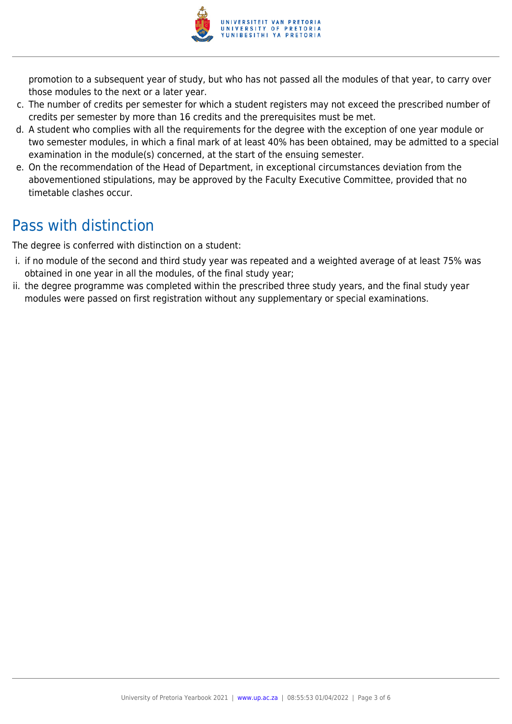

promotion to a subsequent year of study, but who has not passed all the modules of that year, to carry over those modules to the next or a later year.

- c. The number of credits per semester for which a student registers may not exceed the prescribed number of credits per semester by more than 16 credits and the prerequisites must be met.
- d. A student who complies with all the requirements for the degree with the exception of one year module or two semester modules, in which a final mark of at least 40% has been obtained, may be admitted to a special examination in the module(s) concerned, at the start of the ensuing semester.
- e. On the recommendation of the Head of Department, in exceptional circumstances deviation from the abovementioned stipulations, may be approved by the Faculty Executive Committee, provided that no timetable clashes occur.

# Pass with distinction

The degree is conferred with distinction on a student:

- i. if no module of the second and third study year was repeated and a weighted average of at least 75% was obtained in one year in all the modules, of the final study year;
- ii. the degree programme was completed within the prescribed three study years, and the final study year modules were passed on first registration without any supplementary or special examinations.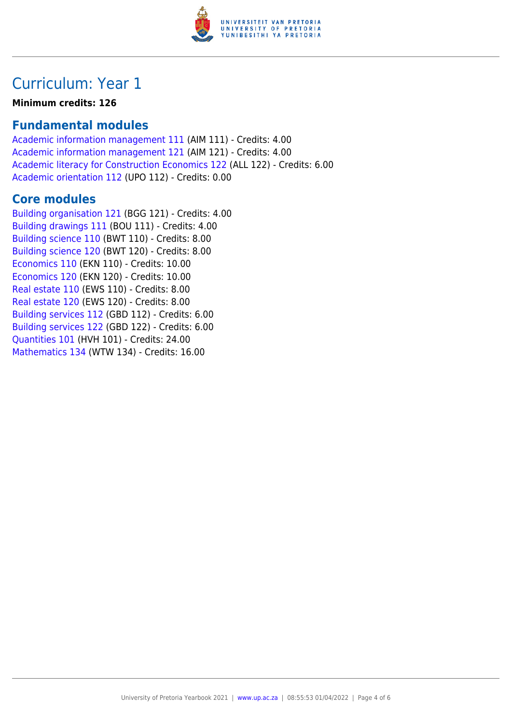

## Curriculum: Year 1

**Minimum credits: 126**

### **Fundamental modules**

[Academic information management 111](https://www.up.ac.za/yearbooks/2021/modules/view/AIM 111) (AIM 111) - Credits: 4.00 [Academic information management 121](https://www.up.ac.za/yearbooks/2021/modules/view/AIM 121) (AIM 121) - Credits: 4.00 [Academic literacy for Construction Economics 122](https://www.up.ac.za/yearbooks/2021/modules/view/ALL 122) (ALL 122) - Credits: 6.00 [Academic orientation 112](https://www.up.ac.za/yearbooks/2021/modules/view/UPO 112) (UPO 112) - Credits: 0.00

### **Core modules**

[Building organisation 121](https://www.up.ac.za/yearbooks/2021/modules/view/BGG 121) (BGG 121) - Credits: 4.00 [Building drawings 111](https://www.up.ac.za/yearbooks/2021/modules/view/BOU 111) (BOU 111) - Credits: 4.00 [Building science 110](https://www.up.ac.za/yearbooks/2021/modules/view/BWT 110) (BWT 110) - Credits: 8.00 [Building science 120](https://www.up.ac.za/yearbooks/2021/modules/view/BWT 120) (BWT 120) - Credits: 8.00 [Economics 110](https://www.up.ac.za/yearbooks/2021/modules/view/EKN 110) (EKN 110) - Credits: 10.00 [Economics 120](https://www.up.ac.za/yearbooks/2021/modules/view/EKN 120) (EKN 120) - Credits: 10.00 [Real estate 110](https://www.up.ac.za/yearbooks/2021/modules/view/EWS 110) (EWS 110) - Credits: 8.00 [Real estate 120](https://www.up.ac.za/yearbooks/2021/modules/view/EWS 120) (EWS 120) - Credits: 8.00 [Building services 112](https://www.up.ac.za/yearbooks/2021/modules/view/GBD 112) (GBD 112) - Credits: 6.00 [Building services 122](https://www.up.ac.za/yearbooks/2021/modules/view/GBD 122) (GBD 122) - Credits: 6.00 [Quantities 101](https://www.up.ac.za/yearbooks/2021/modules/view/HVH 101) (HVH 101) - Credits: 24.00 [Mathematics 134](https://www.up.ac.za/yearbooks/2021/modules/view/WTW 134) (WTW 134) - Credits: 16.00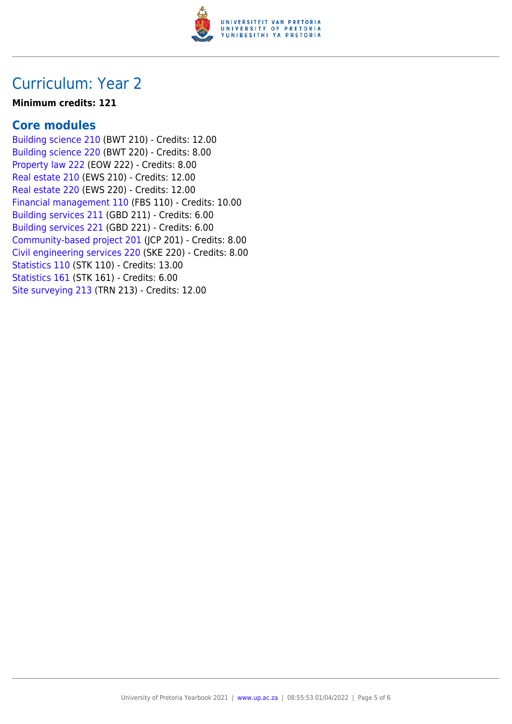

### Curriculum: Year 2

#### **Minimum credits: 121**

### **Core modules**

[Building science 210](https://www.up.ac.za/yearbooks/2021/modules/view/BWT 210) (BWT 210) - Credits: 12.00 [Building science 220](https://www.up.ac.za/yearbooks/2021/modules/view/BWT 220) (BWT 220) - Credits: 8.00 [Property law 222](https://www.up.ac.za/yearbooks/2021/modules/view/EOW 222) (EOW 222) - Credits: 8.00 [Real estate 210](https://www.up.ac.za/yearbooks/2021/modules/view/EWS 210) (EWS 210) - Credits: 12.00 [Real estate 220](https://www.up.ac.za/yearbooks/2021/modules/view/EWS 220) (EWS 220) - Credits: 12.00 [Financial management 110](https://www.up.ac.za/yearbooks/2021/modules/view/FBS 110) (FBS 110) - Credits: 10.00 [Building services 211](https://www.up.ac.za/yearbooks/2021/modules/view/GBD 211) (GBD 211) - Credits: 6.00 [Building services 221](https://www.up.ac.za/yearbooks/2021/modules/view/GBD 221) (GBD 221) - Credits: 6.00 [Community-based project 201](https://www.up.ac.za/yearbooks/2021/modules/view/JCP 201) (JCP 201) - Credits: 8.00 [Civil engineering services 220](https://www.up.ac.za/yearbooks/2021/modules/view/SKE 220) (SKE 220) - Credits: 8.00 [Statistics 110](https://www.up.ac.za/yearbooks/2021/modules/view/STK 110) (STK 110) - Credits: 13.00 [Statistics 161](https://www.up.ac.za/yearbooks/2021/modules/view/STK 161) (STK 161) - Credits: 6.00 [Site surveying 213](https://www.up.ac.za/yearbooks/2021/modules/view/TRN 213) (TRN 213) - Credits: 12.00